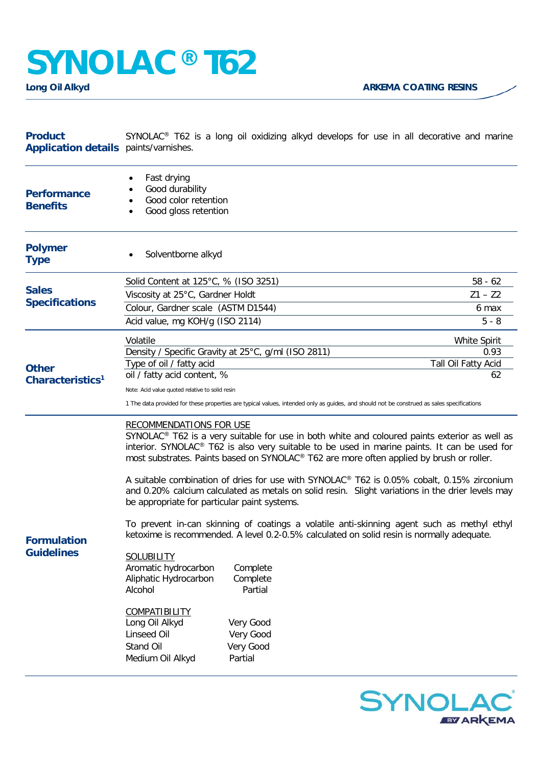## **SYNOLAC® T62**

| <b>Product</b><br>Application details paints/varnishes. | SYNOLAC <sup>®</sup> T62 is a long oil oxidizing alkyd develops for use in all decorative and marine                                                                                                                                                                                                                                                                                                                                                                                                                                                                                      |                                                     |                           |  |
|---------------------------------------------------------|-------------------------------------------------------------------------------------------------------------------------------------------------------------------------------------------------------------------------------------------------------------------------------------------------------------------------------------------------------------------------------------------------------------------------------------------------------------------------------------------------------------------------------------------------------------------------------------------|-----------------------------------------------------|---------------------------|--|
| <b>Performance</b><br><b>Benefits</b>                   | Fast drying<br>$\bullet$<br>Good durability<br>Good color retention<br>Good gloss retention                                                                                                                                                                                                                                                                                                                                                                                                                                                                                               |                                                     |                           |  |
| <b>Polymer</b><br><b>Type</b>                           | Solventborne alkyd                                                                                                                                                                                                                                                                                                                                                                                                                                                                                                                                                                        |                                                     |                           |  |
| <b>Sales</b><br><b>Specifications</b>                   | Solid Content at 125°C, % (ISO 3251)                                                                                                                                                                                                                                                                                                                                                                                                                                                                                                                                                      |                                                     | $58 - 62$                 |  |
|                                                         | Viscosity at 25°C, Gardner Holdt                                                                                                                                                                                                                                                                                                                                                                                                                                                                                                                                                          |                                                     | $Z1 - Z2$                 |  |
|                                                         | Colour, Gardner scale (ASTM D1544)                                                                                                                                                                                                                                                                                                                                                                                                                                                                                                                                                        |                                                     | 6 max                     |  |
|                                                         | Acid value, mg KOH/g (ISO 2114)                                                                                                                                                                                                                                                                                                                                                                                                                                                                                                                                                           |                                                     | $5 - 8$                   |  |
| <b>Other</b><br>Characteristics <sup>1</sup>            | Volatile                                                                                                                                                                                                                                                                                                                                                                                                                                                                                                                                                                                  |                                                     | <b>White Spirit</b>       |  |
|                                                         |                                                                                                                                                                                                                                                                                                                                                                                                                                                                                                                                                                                           | Density / Specific Gravity at 25°C, g/ml (ISO 2811) | 0.93                      |  |
|                                                         | Type of oil / fatty acid                                                                                                                                                                                                                                                                                                                                                                                                                                                                                                                                                                  |                                                     | Tall Oil Fatty Acid<br>62 |  |
|                                                         | oil / fatty acid content, %                                                                                                                                                                                                                                                                                                                                                                                                                                                                                                                                                               |                                                     |                           |  |
|                                                         | Note: Acid value quoted relative to solid resin<br>1 The data provided for these properties are typical values, intended only as guides, and should not be construed as sales specifications                                                                                                                                                                                                                                                                                                                                                                                              |                                                     |                           |  |
| <b>Formulation</b><br><b>Guidelines</b>                 | <b>RECOMMENDATIONS FOR USE</b><br>SYNOLAC® T62 is a very suitable for use in both white and coloured paints exterior as well as<br>interior. SYNOLAC <sup>®</sup> T62 is also very suitable to be used in marine paints. It can be used for<br>most substrates. Paints based on SYNOLAC® T62 are more often applied by brush or roller.<br>A suitable combination of dries for use with SYNOLAC® T62 is 0.05% cobalt, 0.15% zirconium<br>and 0.20% calcium calculated as metals on solid resin. Slight variations in the drier levels may<br>be appropriate for particular paint systems. |                                                     |                           |  |
|                                                         | To prevent in-can skinning of coatings a volatile anti-skinning agent such as methyl ethyl<br>ketoxime is recommended. A level 0.2-0.5% calculated on solid resin is normally adequate.                                                                                                                                                                                                                                                                                                                                                                                                   |                                                     |                           |  |
|                                                         | <b>SOLUBILITY</b><br>Aromatic hydrocarbon<br>Aliphatic Hydrocarbon<br>Alcohol                                                                                                                                                                                                                                                                                                                                                                                                                                                                                                             | Complete<br>Complete<br>Partial                     |                           |  |
|                                                         | <b>COMPATIBILITY</b><br>Long Oil Alkyd<br>Linseed Oil<br>Stand Oil<br>Medium Oil Alkyd                                                                                                                                                                                                                                                                                                                                                                                                                                                                                                    | Very Good<br>Very Good<br>Very Good<br>Partial      |                           |  |